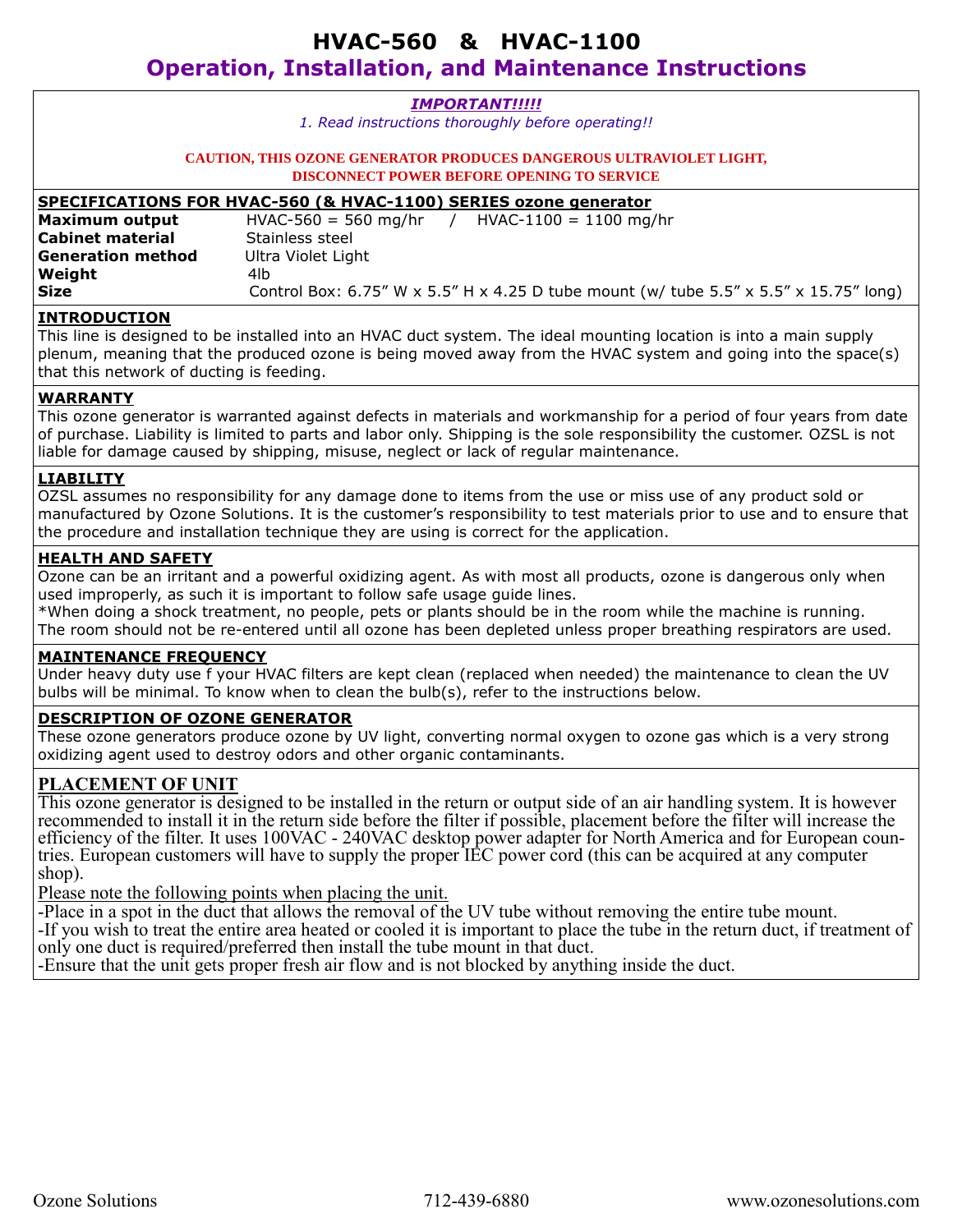| <b>IMPORTANT!!!!!</b>                                                                                             |                                                                                       |
|-------------------------------------------------------------------------------------------------------------------|---------------------------------------------------------------------------------------|
| 1. Read instructions thoroughly before operating!!                                                                |                                                                                       |
|                                                                                                                   |                                                                                       |
| <b>CAUTION, THIS OZONE GENERATOR PRODUCES DANGEROUS ULTRAVIOLET LIGHT,</b>                                        |                                                                                       |
| <b>DISCONNECT POWER BEFORE OPENING TO SERVICE</b>                                                                 |                                                                                       |
| SPECIFICATIONS FOR HVAC-560 (& HVAC-1100) SERIES ozone generator                                                  |                                                                                       |
| Maximum output                                                                                                    | $HVAC-560 = 560$ mg/hr / $HVAC-1100 = 1100$ mg/hr                                     |
| <b>Cabinet material</b>                                                                                           | Stainless steel                                                                       |
| <b>Generation method</b>                                                                                          | Ultra Violet Light                                                                    |
| Weight                                                                                                            | 4lb                                                                                   |
| Size                                                                                                              | Control Box: 6.75" W x 5.5" H x 4.25 D tube mount (w/ tube 5.5" x 5.5" x 15.75" long) |
| <b>INTRODUCTION</b>                                                                                               |                                                                                       |
| This line is designed to be installed into an HVAC duct system. The ideal mounting location is into a main supply |                                                                                       |
| plenum, meaning that the produced ozone is being moved away from the HVAC system and going into the space(s)      |                                                                                       |
| that this network of ducting is feeding.                                                                          |                                                                                       |
| WARRANTY                                                                                                          |                                                                                       |

This ozone generator is warranted against defects in materials and workmanship for a period of four years from date of purchase. Liability is limited to parts and labor only. Shipping is the sole responsibility the customer. OZSL is not liable for damage caused by shipping, misuse, neglect or lack of regular maintenance.

#### **LIABILITY**

OZSL assumes no responsibility for any damage done to items from the use or miss use of any product sold or manufactured by Ozone Solutions. It is the customer's responsibility to test materials prior to use and to ensure that the procedure and installation technique they are using is correct for the application.

#### **HEALTH AND SAFETY**

Ozone can be an irritant and a powerful oxidizing agent. As with most all products, ozone is dangerous only when used improperly, as such it is important to follow safe usage guide lines.

\*When doing a shock treatment, no people, pets or plants should be in the room while the machine is running. The room should not be re-entered until all ozone has been depleted unless proper breathing respirators are used.

#### **MAINTENANCE FREQUENCY**

Under heavy duty use f your HVAC filters are kept clean (replaced when needed) the maintenance to clean the UV bulbs will be minimal. To know when to clean the bulb(s), refer to the instructions below.

#### **DESCRIPTION OF OZONE GENERATOR**

These ozone generators produce ozone by UV light, converting normal oxygen to ozone gas which is a very strong oxidizing agent used to destroy odors and other organic contaminants.

## **PLACEMENT OF UNIT**

This ozone generator is designed to be installed in the return or output side of an air handling system. It is however recommended to install it in the return side before the filter if possible, placement before the filter will increase the efficiency of the filter. It uses 100VAC - 240VAC desktop power adapter for North America and for European countries. European customers will have to supply the proper IEC power cord (this can be acquired at any computer shop).

Please note the following points when placing the unit.

-Place in a spot in the duct that allows the removal of the UV tube without removing the entire tube mount.

-If you wish to treat the entire area heated or cooled it is important to place the tube in the return duct, if treatment of only one duct is required/preferred then install the tube mount in that duct.

-Ensure that the unit gets proper fresh air flow and is not blocked by anything inside the duct.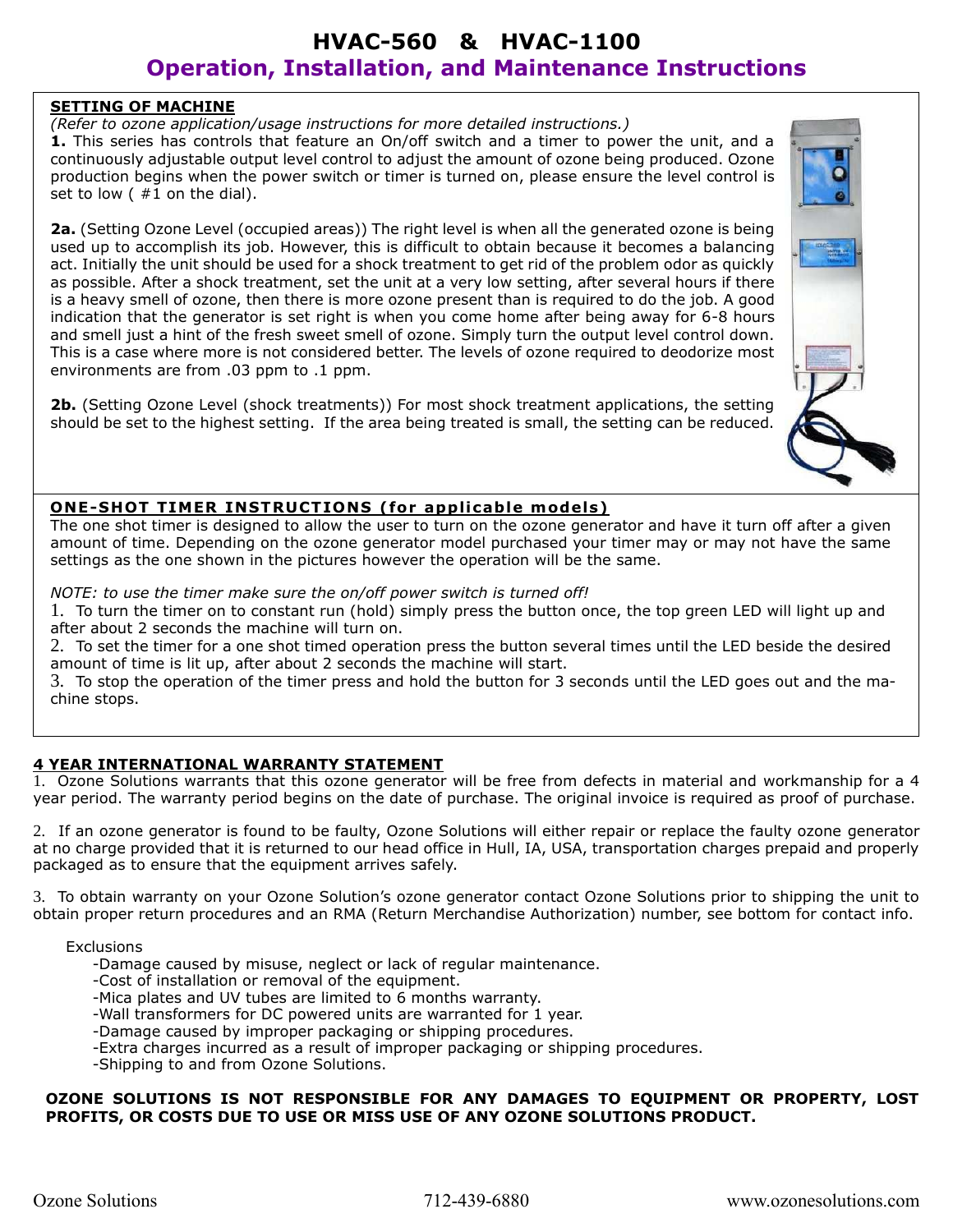## **SETTING OF MACHINE**

*(Refer to ozone application/usage instructions for more detailed instructions.)*

**1.** This series has controls that feature an On/off switch and a timer to power the unit, and a continuously adjustable output level control to adjust the amount of ozone being produced. Ozone production begins when the power switch or timer is turned on, please ensure the level control is set to low  $($  #1 on the dial).

**2a.** (Setting Ozone Level (occupied areas)) The right level is when all the generated ozone is being used up to accomplish its job. However, this is difficult to obtain because it becomes a balancing act. Initially the unit should be used for a shock treatment to get rid of the problem odor as quickly as possible. After a shock treatment, set the unit at a very low setting, after several hours if there is a heavy smell of ozone, then there is more ozone present than is required to do the job. A good indication that the generator is set right is when you come home after being away for 6-8 hours and smell just a hint of the fresh sweet smell of ozone. Simply turn the output level control down. This is a case where more is not considered better. The levels of ozone required to deodorize most environments are from .03 ppm to .1 ppm.

**2b.** (Setting Ozone Level (shock treatments)) For most shock treatment applications, the setting should be set to the highest setting. If the area being treated is small, the setting can be reduced.



## **ONE-SHOT TIMER INSTRUCTIONS (for applicable models)**

The one shot timer is designed to allow the user to turn on the ozone generator and have it turn off after a given amount of time. Depending on the ozone generator model purchased your timer may or may not have the same settings as the one shown in the pictures however the operation will be the same.

*NOTE: to use the timer make sure the on/off power switch is turned off!*

1. To turn the timer on to constant run (hold) simply press the button once, the top green LED will light up and after about 2 seconds the machine will turn on.

2. To set the timer for a one shot timed operation press the button several times until the LED beside the desired amount of time is lit up, after about 2 seconds the machine will start.

3. To stop the operation of the timer press and hold the button for 3 seconds until the LED goes out and the machine stops.

## **4 YEAR INTERNATIONAL WARRANTY STATEMENT**

1. Ozone Solutions warrants that this ozone generator will be free from defects in material and workmanship for a 4 year period. The warranty period begins on the date of purchase. The original invoice is required as proof of purchase.

2. If an ozone generator is found to be faulty, Ozone Solutions will either repair or replace the faulty ozone generator at no charge provided that it is returned to our head office in Hull, IA, USA, transportation charges prepaid and properly packaged as to ensure that the equipment arrives safely.

3. To obtain warranty on your Ozone Solution's ozone generator contact Ozone Solutions prior to shipping the unit to obtain proper return procedures and an RMA (Return Merchandise Authorization) number, see bottom for contact info.

**Exclusions** 

-Damage caused by misuse, neglect or lack of regular maintenance.

- -Cost of installation or removal of the equipment.
- -Mica plates and UV tubes are limited to 6 months warranty.
- -Wall transformers for DC powered units are warranted for 1 year.
- -Damage caused by improper packaging or shipping procedures.
- -Extra charges incurred as a result of improper packaging or shipping procedures.
- -Shipping to and from Ozone Solutions.

### **OZONE SOLUTIONS IS NOT RESPONSIBLE FOR ANY DAMAGES TO EQUIPMENT OR PROPERTY, LOST PROFITS, OR COSTS DUE TO USE OR MISS USE OF ANY OZONE SOLUTIONS PRODUCT.**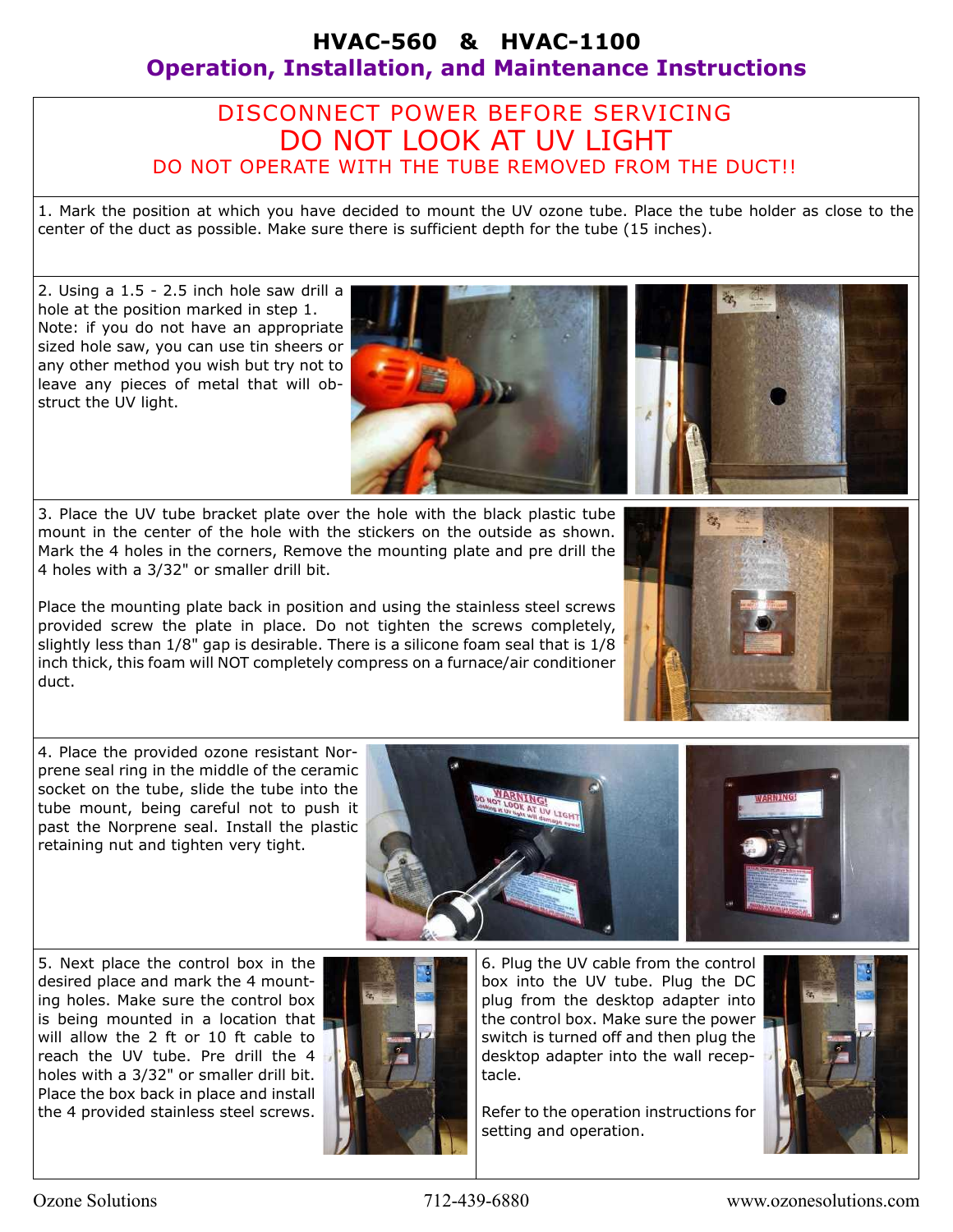# DISCONNECT POWER BEFORE SERVICING DO NOT LOOK AT UV LIGHT DO NOT OPERATE WITH THE TUBE REMOVED FROM THE DUCT!!

1. Mark the position at which you have decided to mount the UV ozone tube. Place the tube holder as close to the center of the duct as possible. Make sure there is sufficient depth for the tube (15 inches).

2. Using a 1.5 - 2.5 inch hole saw drill a hole at the position marked in step 1. Note: if you do not have an appropriate sized hole saw, you can use tin sheers or any other method you wish but try not to leave any pieces of metal that will obstruct the UV light.

3. Place the UV tube bracket plate over the hole with the black plastic tube mount in the center of the hole with the stickers on the outside as shown. Mark the 4 holes in the corners, Remove the mounting plate and pre drill the 4 holes with a 3/32" or smaller drill bit.

Place the mounting plate back in position and using the stainless steel screws provided screw the plate in place. Do not tighten the screws completely, slightly less than  $1/8$ " gap is desirable. There is a silicone foam seal that is  $1/8$ inch thick, this foam will NOT completely compress on a furnace/air conditioner duct.

4. Place the provided ozone resistant Norprene seal ring in the middle of the ceramic socket on the tube, slide the tube into the tube mount, being careful not to push it past the Norprene seal. Install the plastic retaining nut and tighten very tight.

5. Next place the control box in the desired place and mark the 4 mounting holes. Make sure the control box is being mounted in a location that will allow the 2 ft or 10 ft cable to reach the UV tube. Pre drill the 4 holes with a 3/32" or smaller drill bit. Place the box back in place and install the 4 provided stainless steel screws.



6. Plug the UV cable from the control box into the UV tube. Plug the DC plug from the desktop adapter into the control box. Make sure the power switch is turned off and then plug the desktop adapter into the wall receptacle.

Refer to the operation instructions for setting and operation.